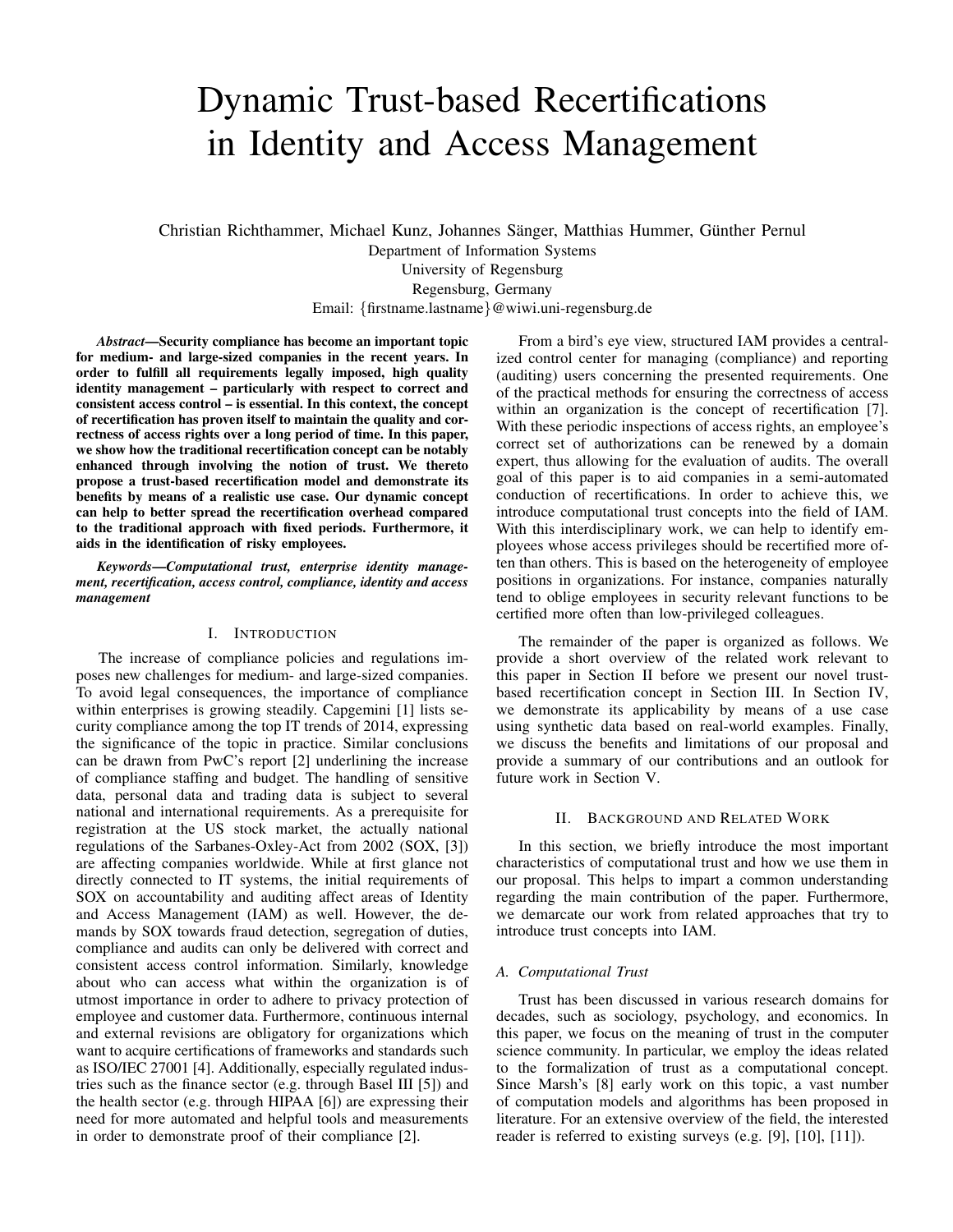# Dynamic Trust-based Recertifications in Identity and Access Management

Christian Richthammer, Michael Kunz, Johannes Sänger, Matthias Hummer, Günther Pernul Department of Information Systems

University of Regensburg Regensburg, Germany Email: {firstname.lastname}@wiwi.uni-regensburg.de

*Abstract*—Security compliance has become an important topic for medium- and large-sized companies in the recent years. In order to fulfill all requirements legally imposed, high quality identity management – particularly with respect to correct and consistent access control – is essential. In this context, the concept of recertification has proven itself to maintain the quality and correctness of access rights over a long period of time. In this paper, we show how the traditional recertification concept can be notably enhanced through involving the notion of trust. We thereto propose a trust-based recertification model and demonstrate its benefits by means of a realistic use case. Our dynamic concept can help to better spread the recertification overhead compared to the traditional approach with fixed periods. Furthermore, it aids in the identification of risky employees.

*Keywords*—*Computational trust, enterprise identity management, recertification, access control, compliance, identity and access management*

# I. INTRODUCTION

The increase of compliance policies and regulations imposes new challenges for medium- and large-sized companies. To avoid legal consequences, the importance of compliance within enterprises is growing steadily. Capgemini [1] lists security compliance among the top IT trends of 2014, expressing the significance of the topic in practice. Similar conclusions can be drawn from PwC's report [2] underlining the increase of compliance staffing and budget. The handling of sensitive data, personal data and trading data is subject to several national and international requirements. As a prerequisite for registration at the US stock market, the actually national regulations of the Sarbanes-Oxley-Act from 2002 (SOX, [3]) are affecting companies worldwide. While at first glance not directly connected to IT systems, the initial requirements of SOX on accountability and auditing affect areas of Identity and Access Management (IAM) as well. However, the demands by SOX towards fraud detection, segregation of duties, compliance and audits can only be delivered with correct and consistent access control information. Similarly, knowledge about who can access what within the organization is of utmost importance in order to adhere to privacy protection of employee and customer data. Furthermore, continuous internal and external revisions are obligatory for organizations which want to acquire certifications of frameworks and standards such as ISO/IEC 27001 [4]. Additionally, especially regulated industries such as the finance sector (e.g. through Basel III [5]) and the health sector (e.g. through HIPAA [6]) are expressing their need for more automated and helpful tools and measurements in order to demonstrate proof of their compliance [2].

From a bird's eye view, structured IAM provides a centralized control center for managing (compliance) and reporting (auditing) users concerning the presented requirements. One of the practical methods for ensuring the correctness of access within an organization is the concept of recertification [7]. With these periodic inspections of access rights, an employee's correct set of authorizations can be renewed by a domain expert, thus allowing for the evaluation of audits. The overall goal of this paper is to aid companies in a semi-automated conduction of recertifications. In order to achieve this, we introduce computational trust concepts into the field of IAM. With this interdisciplinary work, we can help to identify employees whose access privileges should be recertified more often than others. This is based on the heterogeneity of employee positions in organizations. For instance, companies naturally tend to oblige employees in security relevant functions to be certified more often than low-privileged colleagues.

The remainder of the paper is organized as follows. We provide a short overview of the related work relevant to this paper in Section II before we present our novel trustbased recertification concept in Section III. In Section IV, we demonstrate its applicability by means of a use case using synthetic data based on real-world examples. Finally, we discuss the benefits and limitations of our proposal and provide a summary of our contributions and an outlook for future work in Section V.

## II. BACKGROUND AND RELATED WORK

In this section, we briefly introduce the most important characteristics of computational trust and how we use them in our proposal. This helps to impart a common understanding regarding the main contribution of the paper. Furthermore, we demarcate our work from related approaches that try to introduce trust concepts into IAM.

# *A. Computational Trust*

Trust has been discussed in various research domains for decades, such as sociology, psychology, and economics. In this paper, we focus on the meaning of trust in the computer science community. In particular, we employ the ideas related to the formalization of trust as a computational concept. Since Marsh's [8] early work on this topic, a vast number of computation models and algorithms has been proposed in literature. For an extensive overview of the field, the interested reader is referred to existing surveys (e.g. [9], [10], [11]).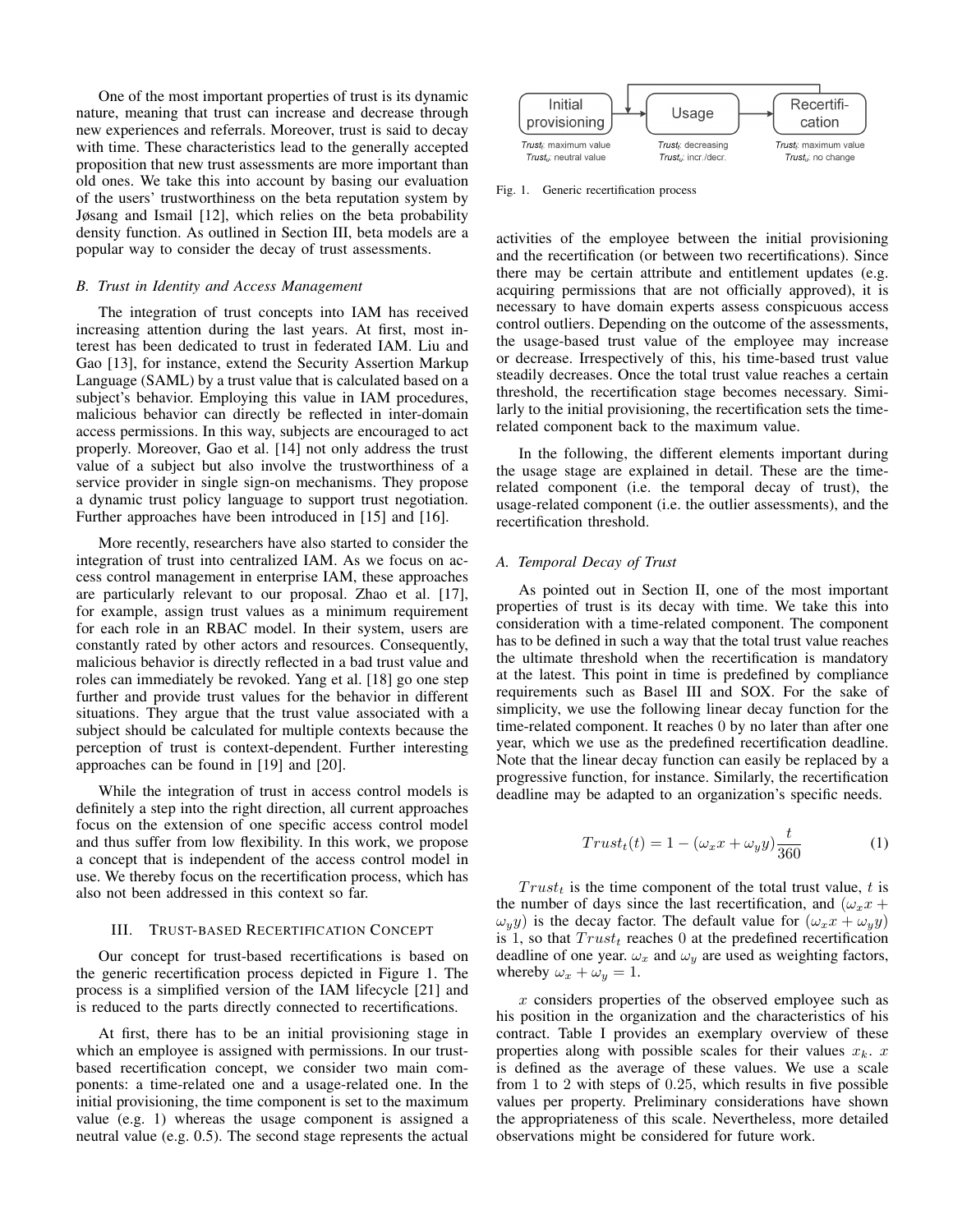One of the most important properties of trust is its dynamic nature, meaning that trust can increase and decrease through new experiences and referrals. Moreover, trust is said to decay with time. These characteristics lead to the generally accepted proposition that new trust assessments are more important than old ones. We take this into account by basing our evaluation of the users' trustworthiness on the beta reputation system by Jøsang and Ismail [12], which relies on the beta probability density function. As outlined in Section III, beta models are a popular way to consider the decay of trust assessments.

## *B. Trust in Identity and Access Management*

The integration of trust concepts into IAM has received increasing attention during the last years. At first, most interest has been dedicated to trust in federated IAM. Liu and Gao [13], for instance, extend the Security Assertion Markup Language (SAML) by a trust value that is calculated based on a subject's behavior. Employing this value in IAM procedures, malicious behavior can directly be reflected in inter-domain access permissions. In this way, subjects are encouraged to act properly. Moreover, Gao et al. [14] not only address the trust value of a subject but also involve the trustworthiness of a service provider in single sign-on mechanisms. They propose a dynamic trust policy language to support trust negotiation. Further approaches have been introduced in [15] and [16].

More recently, researchers have also started to consider the integration of trust into centralized IAM. As we focus on access control management in enterprise IAM, these approaches are particularly relevant to our proposal. Zhao et al. [17], for example, assign trust values as a minimum requirement for each role in an RBAC model. In their system, users are constantly rated by other actors and resources. Consequently, malicious behavior is directly reflected in a bad trust value and roles can immediately be revoked. Yang et al. [18] go one step further and provide trust values for the behavior in different situations. They argue that the trust value associated with a subject should be calculated for multiple contexts because the perception of trust is context-dependent. Further interesting approaches can be found in [19] and [20].

While the integration of trust in access control models is definitely a step into the right direction, all current approaches focus on the extension of one specific access control model and thus suffer from low flexibility. In this work, we propose a concept that is independent of the access control model in use. We thereby focus on the recertification process, which has also not been addressed in this context so far.

# III. TRUST-BASED RECERTIFICATION CONCEPT

Our concept for trust-based recertifications is based on the generic recertification process depicted in Figure 1. The process is a simplified version of the IAM lifecycle [21] and is reduced to the parts directly connected to recertifications.

At first, there has to be an initial provisioning stage in which an employee is assigned with permissions. In our trustbased recertification concept, we consider two main components: a time-related one and a usage-related one. In the initial provisioning, the time component is set to the maximum value (e.g. 1) whereas the usage component is assigned a neutral value (e.g. 0.5). The second stage represents the actual



Fig. 1. Generic recertification process

activities of the employee between the initial provisioning and the recertification (or between two recertifications). Since there may be certain attribute and entitlement updates (e.g. acquiring permissions that are not officially approved), it is necessary to have domain experts assess conspicuous access control outliers. Depending on the outcome of the assessments, the usage-based trust value of the employee may increase or decrease. Irrespectively of this, his time-based trust value steadily decreases. Once the total trust value reaches a certain threshold, the recertification stage becomes necessary. Similarly to the initial provisioning, the recertification sets the timerelated component back to the maximum value.

In the following, the different elements important during the usage stage are explained in detail. These are the timerelated component (i.e. the temporal decay of trust), the usage-related component (i.e. the outlier assessments), and the recertification threshold.

# *A. Temporal Decay of Trust*

As pointed out in Section II, one of the most important properties of trust is its decay with time. We take this into consideration with a time-related component. The component has to be defined in such a way that the total trust value reaches the ultimate threshold when the recertification is mandatory at the latest. This point in time is predefined by compliance requirements such as Basel III and SOX. For the sake of simplicity, we use the following linear decay function for the time-related component. It reaches 0 by no later than after one year, which we use as the predefined recertification deadline. Note that the linear decay function can easily be replaced by a progressive function, for instance. Similarly, the recertification deadline may be adapted to an organization's specific needs.

$$
Trustt(t) = 1 - (\omega_x x + \omega_y y)\frac{t}{360}
$$
 (1)

 $Trust<sub>t</sub>$  is the time component of the total trust value, t is the number of days since the last recertification, and  $(\omega_x x +$  $\omega_y(y)$  is the decay factor. The default value for  $(\omega_x x + \omega_y y)$ is 1, so that  $Trust_t$  reaches 0 at the predefined recertification deadline of one year.  $\omega_x$  and  $\omega_y$  are used as weighting factors, whereby  $\omega_x + \omega_y = 1$ .

 $x$  considers properties of the observed employee such as his position in the organization and the characteristics of his contract. Table I provides an exemplary overview of these properties along with possible scales for their values  $x_k$ . x is defined as the average of these values. We use a scale from 1 to 2 with steps of 0.25, which results in five possible values per property. Preliminary considerations have shown the appropriateness of this scale. Nevertheless, more detailed observations might be considered for future work.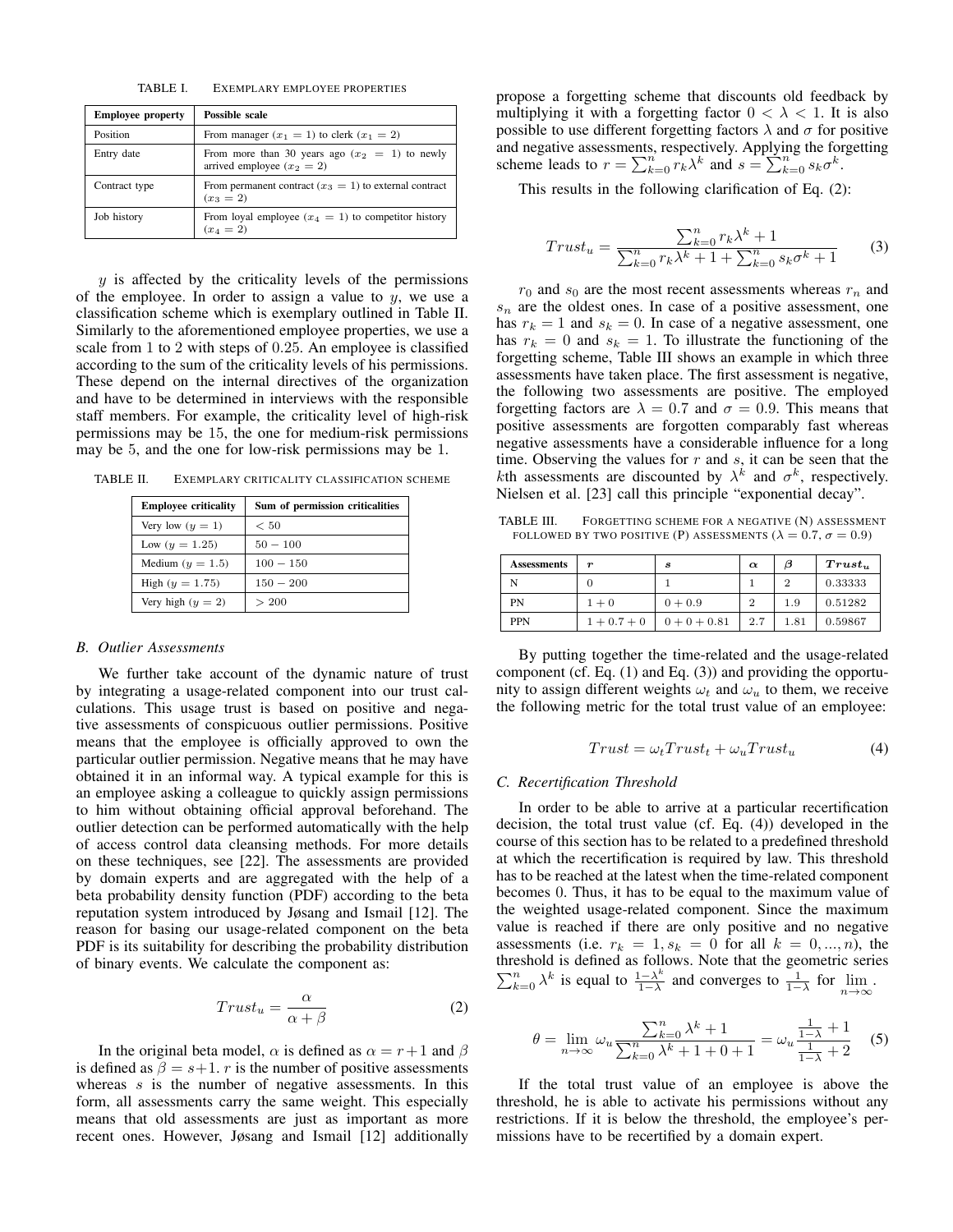TABLE I. EXEMPLARY EMPLOYEE PROPERTIES

| <b>Employee property</b> | Possible scale                                                                   |
|--------------------------|----------------------------------------------------------------------------------|
| Position                 | From manager $(x_1 = 1)$ to clerk $(x_1 = 2)$                                    |
| Entry date               | From more than 30 years ago $(x_2 = 1)$ to newly<br>arrived employee $(x_2 = 2)$ |
| Contract type            | From permanent contract $(x_3 = 1)$ to external contract<br>$(x_3 = 2)$          |
| Job history              | From loyal employee $(x_4 = 1)$ to competitor history<br>$(x_4 = 2)$             |

 $y$  is affected by the criticality levels of the permissions of the employee. In order to assign a value to  $y$ , we use a classification scheme which is exemplary outlined in Table II. Similarly to the aforementioned employee properties, we use a scale from 1 to 2 with steps of 0.25. An employee is classified according to the sum of the criticality levels of his permissions. These depend on the internal directives of the organization and have to be determined in interviews with the responsible staff members. For example, the criticality level of high-risk permissions may be 15, the one for medium-risk permissions may be 5, and the one for low-risk permissions may be 1.

TABLE II. EXEMPLARY CRITICALITY CLASSIFICATION SCHEME

| <b>Employee criticality</b> | Sum of permission criticalities |  |  |
|-----------------------------|---------------------------------|--|--|
| Very low $(y = 1)$          | < 50                            |  |  |
| Low $(y = 1.25)$            | $50 - 100$                      |  |  |
| Medium ( $y = 1.5$ )        | $100 - 150$                     |  |  |
| High $(y = 1.75)$           | $150 - 200$                     |  |  |
| Very high $(y = 2)$         | > 200                           |  |  |

#### *B. Outlier Assessments*

We further take account of the dynamic nature of trust by integrating a usage-related component into our trust calculations. This usage trust is based on positive and negative assessments of conspicuous outlier permissions. Positive means that the employee is officially approved to own the particular outlier permission. Negative means that he may have obtained it in an informal way. A typical example for this is an employee asking a colleague to quickly assign permissions to him without obtaining official approval beforehand. The outlier detection can be performed automatically with the help of access control data cleansing methods. For more details on these techniques, see [22]. The assessments are provided by domain experts and are aggregated with the help of a beta probability density function (PDF) according to the beta reputation system introduced by Jøsang and Ismail [12]. The reason for basing our usage-related component on the beta PDF is its suitability for describing the probability distribution of binary events. We calculate the component as:

$$
Trust_u = \frac{\alpha}{\alpha + \beta} \tag{2}
$$

In the original beta model,  $\alpha$  is defined as  $\alpha = r+1$  and  $\beta$ is defined as  $\beta = s+1$ . r is the number of positive assessments whereas  $s$  is the number of negative assessments. In this form, all assessments carry the same weight. This especially means that old assessments are just as important as more recent ones. However, Jøsang and Ismail [12] additionally propose a forgetting scheme that discounts old feedback by multiplying it with a forgetting factor  $0 < \lambda < 1$ . It is also possible to use different forgetting factors  $\lambda$  and  $\sigma$  for positive and negative assessments, respectively. Applying the forgetting scheme leads to  $r = \sum_{k=0}^{n} r_k \lambda^k$  and  $s = \sum_{k=0}^{n} s_k \sigma^k$ .

This results in the following clarification of Eq. (2):

$$
Trust_u = \frac{\sum_{k=0}^{n} r_k \lambda^k + 1}{\sum_{k=0}^{n} r_k \lambda^k + 1 + \sum_{k=0}^{n} s_k \sigma^k + 1}
$$
(3)

 $r_0$  and  $s_0$  are the most recent assessments whereas  $r_n$  and  $s_n$  are the oldest ones. In case of a positive assessment, one has  $r_k = 1$  and  $s_k = 0$ . In case of a negative assessment, one has  $r_k = 0$  and  $s_k = 1$ . To illustrate the functioning of the forgetting scheme, Table III shows an example in which three assessments have taken place. The first assessment is negative, the following two assessments are positive. The employed forgetting factors are  $\lambda = 0.7$  and  $\sigma = 0.9$ . This means that positive assessments are forgotten comparably fast whereas negative assessments have a considerable influence for a long time. Observing the values for  $r$  and  $s$ , it can be seen that the kth assessments are discounted by  $\lambda^k$  and  $\sigma^k$ , respectively. Nielsen et al. [23] call this principle "exponential decay".

TABLE III. FORGETTING SCHEME FOR A NEGATIVE (N) ASSESSMENT FOLLOWED BY TWO POSITIVE (P) ASSESSMENTS ( $\lambda = 0.7$ ,  $\sigma = 0.9$ )

| <b>Assessments</b> | $\boldsymbol{r}$ | S              | $\alpha$ | β              | $\boldsymbol{Trust_{u}}$ |
|--------------------|------------------|----------------|----------|----------------|--------------------------|
| N                  |                  |                |          | $\overline{2}$ | 0.33333                  |
| PN                 | $1 + 0$          | $0 + 0.9$      | 2        | 1.9            | 0.51282                  |
| <b>PPN</b>         | $1 + 0.7 + 0$    | $0 + 0 + 0.81$ | 2.7      | 1.81           | 0.59867                  |

By putting together the time-related and the usage-related component (cf. Eq. (1) and Eq. (3)) and providing the opportunity to assign different weights  $\omega_t$  and  $\omega_u$  to them, we receive the following metric for the total trust value of an employee:

$$
Trust = \omega_t Trust_t + \omega_u Trust_u \tag{4}
$$

## *C. Recertification Threshold*

In order to be able to arrive at a particular recertification decision, the total trust value (cf. Eq. (4)) developed in the course of this section has to be related to a predefined threshold at which the recertification is required by law. This threshold has to be reached at the latest when the time-related component becomes 0. Thus, it has to be equal to the maximum value of the weighted usage-related component. Since the maximum value is reached if there are only positive and no negative assessments (i.e.  $r_k = 1$ ,  $s_k = 0$  for all  $k = 0, ..., n$ ), the threshold is defined as follows. Note that the geometric series  $\sum_{k=0}^{n} \lambda^k$  is equal to  $\frac{1-\lambda^k}{1-\lambda}$  $\frac{1-\lambda^k}{1-\lambda}$  and converges to  $\frac{1}{1-\lambda}$  for  $\lim_{n\to\infty}$ .

$$
\theta = \lim_{n \to \infty} \omega_u \frac{\sum_{k=0}^n \lambda^k + 1}{\sum_{k=0}^n \lambda^k + 1 + 0 + 1} = \omega_u \frac{\frac{1}{1 - \lambda} + 1}{\frac{1}{1 - \lambda} + 2} \tag{5}
$$

If the total trust value of an employee is above the threshold, he is able to activate his permissions without any restrictions. If it is below the threshold, the employee's permissions have to be recertified by a domain expert.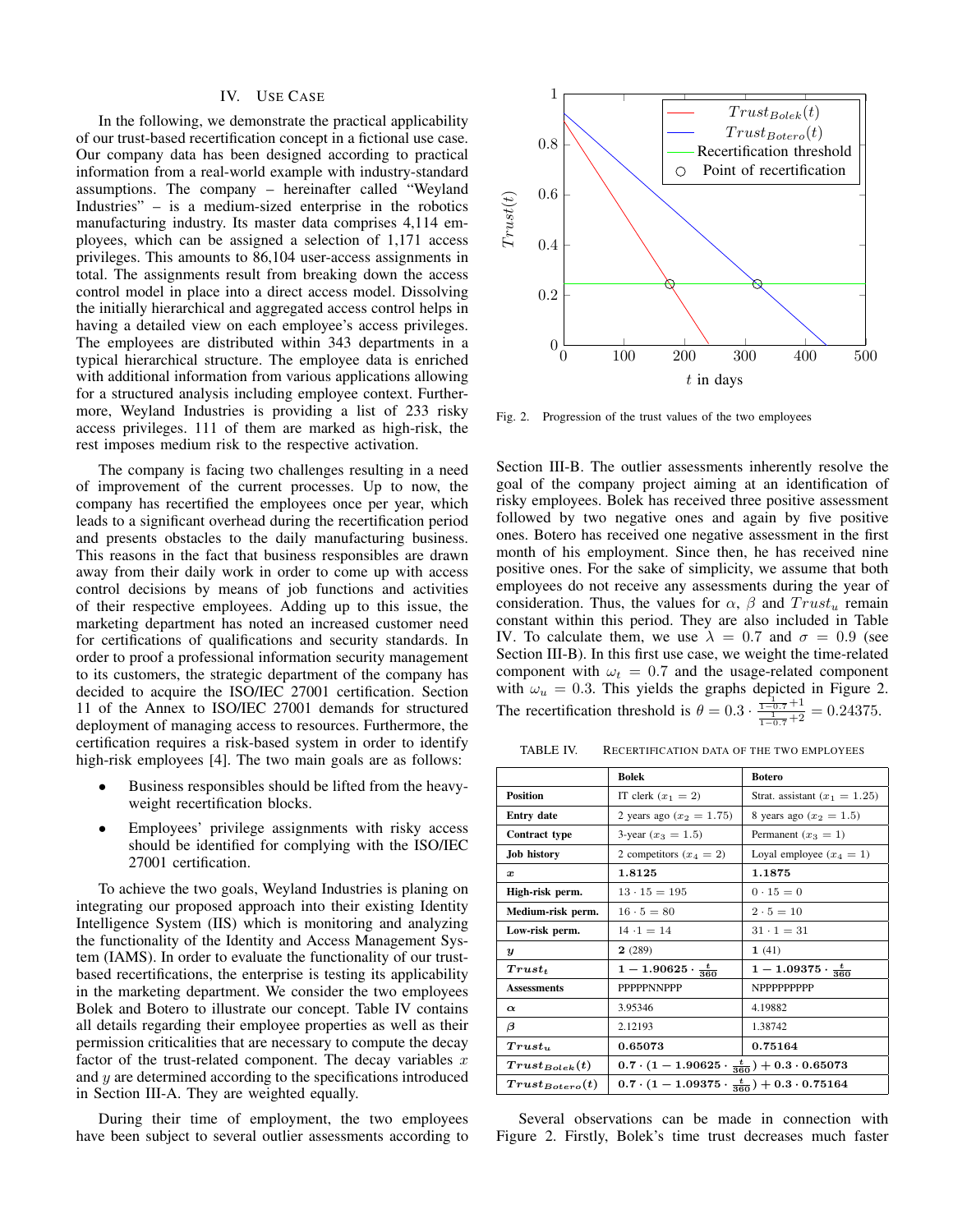## IV. USE CASE

In the following, we demonstrate the practical applicability of our trust-based recertification concept in a fictional use case. Our company data has been designed according to practical information from a real-world example with industry-standard assumptions. The company – hereinafter called "Weyland Industries" – is a medium-sized enterprise in the robotics manufacturing industry. Its master data comprises 4,114 employees, which can be assigned a selection of 1,171 access privileges. This amounts to 86,104 user-access assignments in total. The assignments result from breaking down the access control model in place into a direct access model. Dissolving the initially hierarchical and aggregated access control helps in having a detailed view on each employee's access privileges. The employees are distributed within 343 departments in a typical hierarchical structure. The employee data is enriched with additional information from various applications allowing for a structured analysis including employee context. Furthermore, Weyland Industries is providing a list of 233 risky access privileges. 111 of them are marked as high-risk, the rest imposes medium risk to the respective activation.

The company is facing two challenges resulting in a need of improvement of the current processes. Up to now, the company has recertified the employees once per year, which leads to a significant overhead during the recertification period and presents obstacles to the daily manufacturing business. This reasons in the fact that business responsibles are drawn away from their daily work in order to come up with access control decisions by means of job functions and activities of their respective employees. Adding up to this issue, the marketing department has noted an increased customer need for certifications of qualifications and security standards. In order to proof a professional information security management to its customers, the strategic department of the company has decided to acquire the ISO/IEC 27001 certification. Section 11 of the Annex to ISO/IEC 27001 demands for structured deployment of managing access to resources. Furthermore, the certification requires a risk-based system in order to identify high-risk employees [4]. The two main goals are as follows:

- Business responsibles should be lifted from the heavyweight recertification blocks.
- Employees' privilege assignments with risky access should be identified for complying with the ISO/IEC 27001 certification.

To achieve the two goals, Weyland Industries is planing on integrating our proposed approach into their existing Identity Intelligence System (IIS) which is monitoring and analyzing the functionality of the Identity and Access Management System (IAMS). In order to evaluate the functionality of our trustbased recertifications, the enterprise is testing its applicability in the marketing department. We consider the two employees Bolek and Botero to illustrate our concept. Table IV contains all details regarding their employee properties as well as their permission criticalities that are necessary to compute the decay factor of the trust-related component. The decay variables  $x$ and  $y$  are determined according to the specifications introduced in Section III-A. They are weighted equally.

During their time of employment, the two employees have been subject to several outlier assessments according to



Fig. 2. Progression of the trust values of the two employees

Section III-B. The outlier assessments inherently resolve the goal of the company project aiming at an identification of risky employees. Bolek has received three positive assessment followed by two negative ones and again by five positive ones. Botero has received one negative assessment in the first month of his employment. Since then, he has received nine positive ones. For the sake of simplicity, we assume that both employees do not receive any assessments during the year of consideration. Thus, the values for  $\alpha$ ,  $\beta$  and  $Trust_u$  remain constant within this period. They are also included in Table IV. To calculate them, we use  $\lambda = 0.7$  and  $\sigma = 0.9$  (see Section III-B). In this first use case, we weight the time-related component with  $\omega_t = 0.7$  and the usage-related component with  $\omega_u = 0.3$ . This yields the graphs depicted in Figure 2. The recertification threshold is  $\theta = 0.3 \cdot \frac{\frac{1}{1-0.7} + 1}{\frac{1}{1-0.7} + 2} = 0.24375$ .

TABLE IV. RECERTIFICATION DATA OF THE TWO EMPLOYEES

|                      | Bolek                                                             | <b>Botero</b>                   |  |
|----------------------|-------------------------------------------------------------------|---------------------------------|--|
| <b>Position</b>      | IT clerk $(x_1 = 2)$                                              | Strat. assistant $(x_1 = 1.25)$ |  |
| <b>Entry date</b>    | 2 years ago $(x_2 = 1.75)$                                        | 8 years ago $(x_2 = 1.5)$       |  |
| <b>Contract type</b> | 3-year $(x_3 = 1.5)$                                              | Permanent $(x_3 = 1)$           |  |
| <b>Job history</b>   | 2 competitors $(x_4 = 2)$                                         | Loyal employee $(x_4 = 1)$      |  |
| x                    | 1.8125                                                            | 1.1875                          |  |
| High-risk perm.      | $13 \cdot 15 = 195$                                               | $0 \cdot 15 = 0$                |  |
| Medium-risk perm.    | $16 \cdot 5 = 80$                                                 | $2 \cdot 5 = 10$                |  |
| Low-risk perm.       | $14 \cdot 1 = 14$                                                 | $31 \cdot 1 = 31$               |  |
| $\boldsymbol{y}$     | 2(289)                                                            | 1(41)                           |  |
| $Trust_t$            | $1-1.90625 \cdot \frac{t}{360}$                                   | $1-1.09375 \cdot \frac{t}{360}$ |  |
| <b>Assessments</b>   | <b>PPPPPNNPPP</b>                                                 | <b>NPPPPPPPPPP</b>              |  |
| $\alpha$             | 3.95346                                                           | 4.19882                         |  |
| β                    | 2.12193                                                           | 1.38742                         |  |
| Trust.               | 0.65073                                                           | 0.75164                         |  |
| $Trust_{Bolek}(t)$   | $0.7 \cdot (1 - 1.90625 \cdot \frac{t}{360}) + 0.3 \cdot 0.65073$ |                                 |  |
| $Trust_{Botero}(t)$  | $0.7 \cdot (1 - 1.09375 \cdot \frac{t}{360}) + 0.3 \cdot 0.75164$ |                                 |  |

Several observations can be made in connection with Figure 2. Firstly, Bolek's time trust decreases much faster